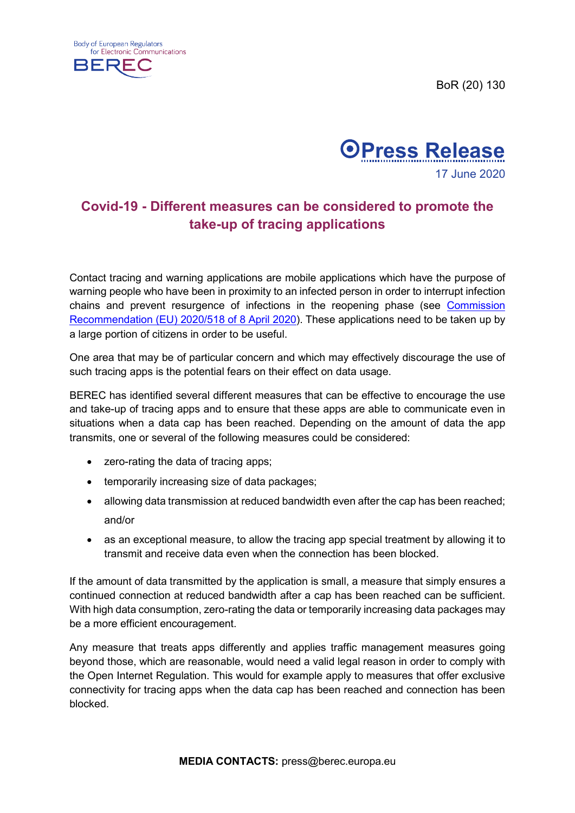BoR (20) 130





## **Covid-19 - Different measures can be considered to promote the take-up of tracing applications**

Contact tracing and warning applications are mobile applications which have the purpose of warning people who have been in proximity to an infected person in order to interrupt infection chains and prevent resurgence of infections in the reopening phase (see [Commission](https://eur-lex.europa.eu/legal-content/EN/TXT/?uri=CELEX:32020H0518)  [Recommendation \(EU\) 2020/518 of 8 April 2020\)](https://eur-lex.europa.eu/legal-content/EN/TXT/?uri=CELEX:32020H0518). These applications need to be taken up by a large portion of citizens in order to be useful.

One area that may be of particular concern and which may effectively discourage the use of such tracing apps is the potential fears on their effect on data usage.

BEREC has identified several different measures that can be effective to encourage the use and take-up of tracing apps and to ensure that these apps are able to communicate even in situations when a data cap has been reached. Depending on the amount of data the app transmits, one or several of the following measures could be considered:

- zero-rating the data of tracing apps;
- temporarily increasing size of data packages;
- allowing data transmission at reduced bandwidth even after the cap has been reached; and/or
- as an exceptional measure, to allow the tracing app special treatment by allowing it to transmit and receive data even when the connection has been blocked.

If the amount of data transmitted by the application is small, a measure that simply ensures a continued connection at reduced bandwidth after a cap has been reached can be sufficient. With high data consumption, zero-rating the data or temporarily increasing data packages may be a more efficient encouragement.

Any measure that treats apps differently and applies traffic management measures going beyond those, which are reasonable, would need a valid legal reason in order to comply with the Open Internet Regulation. This would for example apply to measures that offer exclusive connectivity for tracing apps when the data cap has been reached and connection has been blocked.